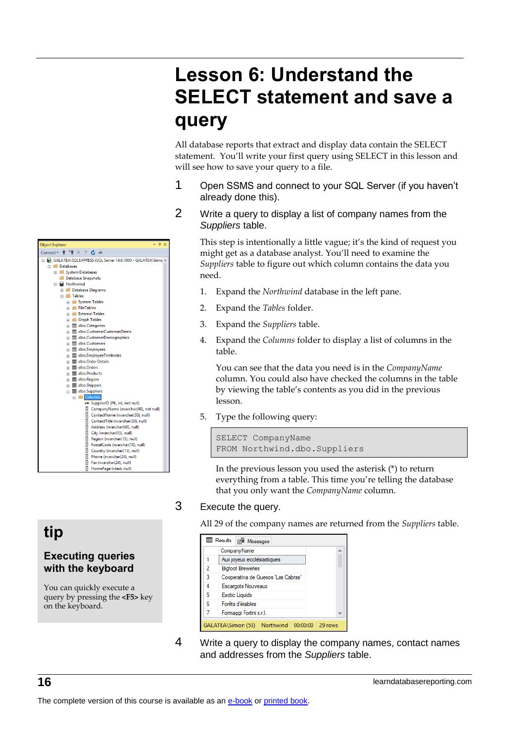# **Lesson 6: Understand the SELECT statement and save a query**

All database reports that extract and display data contain the SELECT statement. You'll write your first query using SELECT in this lesson and will see how to save your query to a file.

- 1 Open SSMS and connect to your SQL Server (if you haven't already done this).
- 2 Write a query to display a list of company names from the *Suppliers* table.

This step is intentionally a little vague; it's the kind of request you might get as a database analyst. You'll need to examine the *Suppliers* table to figure out which column contains the data you need.

- 1. Expand the *Northwind* database in the left pane.
- 2. Expand the *Tables* folder.
- 3. Expand the *Suppliers* table.
- 4. Expand the *Columns* folder to display a list of columns in the table.

You can see that the data you need is in the *CompanyName* column. You could also have checked the columns in the table by viewing the table's contents as you did in the previous lesson.

5. Type the following query:

```
SELECT CompanyName
FROM Northwind.dbo.Suppliers
```
In the previous lesson you used the asterisk (\*) to return everything from a table. This time you're telling the database that you only want the *CompanyName* column.

### 3 Execute the query.

All 29 of the company names are returned from the *Suppliers* table.

|   | CompanyName                        |  |
|---|------------------------------------|--|
|   | Aux joyeux ecclésiastiques         |  |
| 2 | <b>Bigfoot Breweries</b>           |  |
| 3 | Cooperativa de Quesos 'Las Cabras' |  |
| 4 | Escargots Nouveaux                 |  |
| 5 | <b>Exotic Liquids</b>              |  |
| 6 | Forêts d'érables                   |  |
| 7 | Formaggi Fortini s.r.l.            |  |

4 Write a query to display the company names, contact names and addresses from the *Suppliers* table.



# **tip**

### **Executing queries with the keyboard**

You can quickly execute a query by pressing the **<F5>** key on the keyboard.